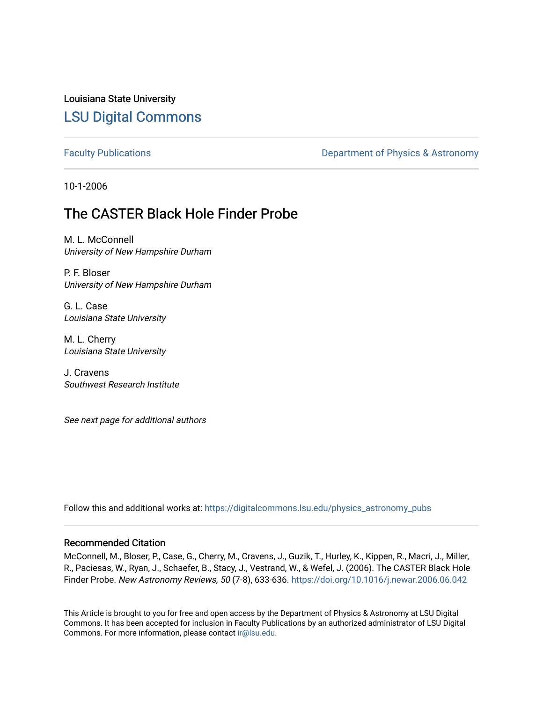Louisiana State University [LSU Digital Commons](https://digitalcommons.lsu.edu/)

[Faculty Publications](https://digitalcommons.lsu.edu/physics_astronomy_pubs) **Exercise 2 and Table 2 and Table 2 and Table 2 and Table 2 and Table 2 and Table 2 and Table 2 and Table 2 and Table 2 and Table 2 and Table 2 and Table 2 and Table 2 and Table 2 and Table 2 and Table** 

10-1-2006

# The CASTER Black Hole Finder Probe

M. L. McConnell University of New Hampshire Durham

P. F. Bloser University of New Hampshire Durham

G. L. Case Louisiana State University

M. L. Cherry Louisiana State University

J. Cravens Southwest Research Institute

See next page for additional authors

Follow this and additional works at: [https://digitalcommons.lsu.edu/physics\\_astronomy\\_pubs](https://digitalcommons.lsu.edu/physics_astronomy_pubs?utm_source=digitalcommons.lsu.edu%2Fphysics_astronomy_pubs%2F695&utm_medium=PDF&utm_campaign=PDFCoverPages) 

### Recommended Citation

McConnell, M., Bloser, P., Case, G., Cherry, M., Cravens, J., Guzik, T., Hurley, K., Kippen, R., Macri, J., Miller, R., Paciesas, W., Ryan, J., Schaefer, B., Stacy, J., Vestrand, W., & Wefel, J. (2006). The CASTER Black Hole Finder Probe. New Astronomy Reviews, 50 (7-8), 633-636. <https://doi.org/10.1016/j.newar.2006.06.042>

This Article is brought to you for free and open access by the Department of Physics & Astronomy at LSU Digital Commons. It has been accepted for inclusion in Faculty Publications by an authorized administrator of LSU Digital Commons. For more information, please contact [ir@lsu.edu](mailto:ir@lsu.edu).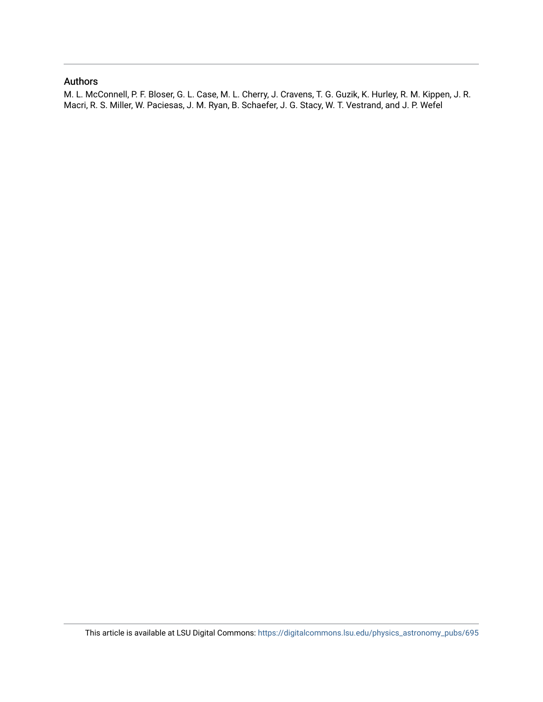### Authors

M. L. McConnell, P. F. Bloser, G. L. Case, M. L. Cherry, J. Cravens, T. G. Guzik, K. Hurley, R. M. Kippen, J. R. Macri, R. S. Miller, W. Paciesas, J. M. Ryan, B. Schaefer, J. G. Stacy, W. T. Vestrand, and J. P. Wefel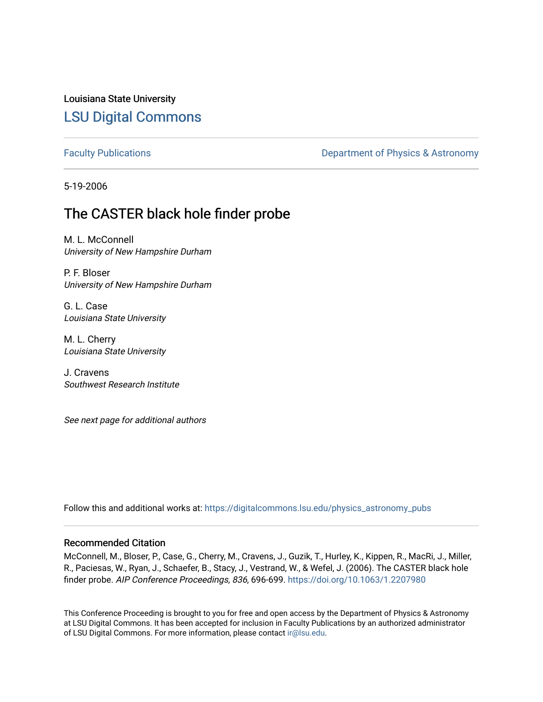Louisiana State University [LSU Digital Commons](https://digitalcommons.lsu.edu/)

[Faculty Publications](https://digitalcommons.lsu.edu/physics_astronomy_pubs) **Exercise 2 and Table 2 and Table 2 and Table 2 and Table 2 and Table 2 and Table 2 and Table 2 and Table 2 and Table 2 and Table 2 and Table 2 and Table 2 and Table 2 and Table 2 and Table 2 and Table** 

5-19-2006

## The CASTER black hole finder probe

M. L. McConnell University of New Hampshire Durham

P. F. Bloser University of New Hampshire Durham

G. L. Case Louisiana State University

M. L. Cherry Louisiana State University

J. Cravens Southwest Research Institute

See next page for additional authors

Follow this and additional works at: [https://digitalcommons.lsu.edu/physics\\_astronomy\\_pubs](https://digitalcommons.lsu.edu/physics_astronomy_pubs?utm_source=digitalcommons.lsu.edu%2Fphysics_astronomy_pubs%2F698&utm_medium=PDF&utm_campaign=PDFCoverPages) 

#### Recommended Citation

McConnell, M., Bloser, P., Case, G., Cherry, M., Cravens, J., Guzik, T., Hurley, K., Kippen, R., MacRi, J., Miller, R., Paciesas, W., Ryan, J., Schaefer, B., Stacy, J., Vestrand, W., & Wefel, J. (2006). The CASTER black hole finder probe. AIP Conference Proceedings, 836, 696-699. <https://doi.org/10.1063/1.2207980>

This Conference Proceeding is brought to you for free and open access by the Department of Physics & Astronomy at LSU Digital Commons. It has been accepted for inclusion in Faculty Publications by an authorized administrator of LSU Digital Commons. For more information, please contact [ir@lsu.edu](mailto:ir@lsu.edu).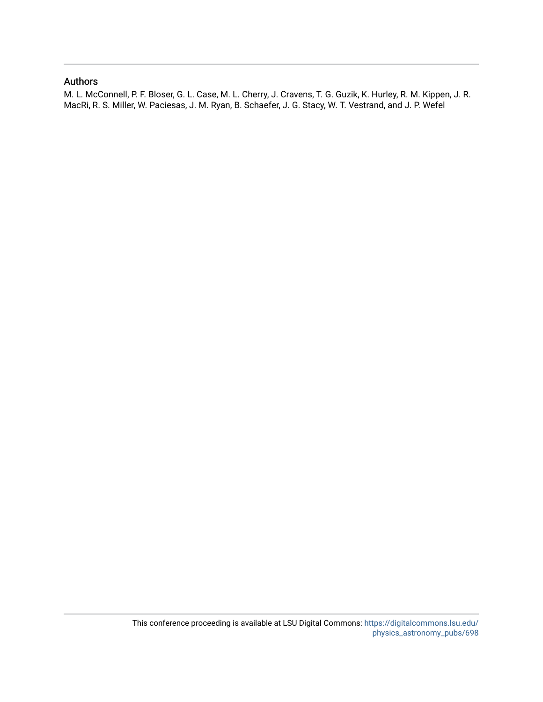### Authors

M. L. McConnell, P. F. Bloser, G. L. Case, M. L. Cherry, J. Cravens, T. G. Guzik, K. Hurley, R. M. Kippen, J. R. MacRi, R. S. Miller, W. Paciesas, J. M. Ryan, B. Schaefer, J. G. Stacy, W. T. Vestrand, and J. P. Wefel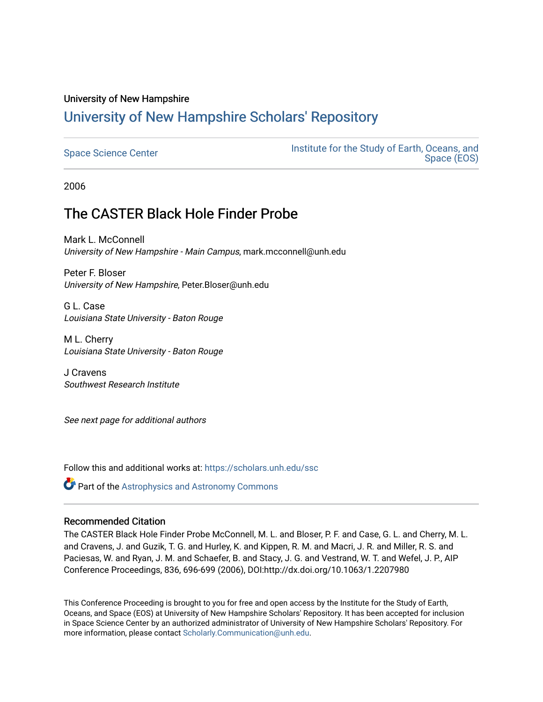## University of New Hampshire [University of New Hampshire Scholars' Repository](https://scholars.unh.edu/)

| <b>Space Science Center</b> | Institute for the Study of Earth, Oceans, and<br>Space (EOS) |
|-----------------------------|--------------------------------------------------------------|
|-----------------------------|--------------------------------------------------------------|

2006

# The CASTER Black Hole Finder Probe

Mark L. McConnell University of New Hampshire - Main Campus, mark.mcconnell@unh.edu

Peter F. Bloser University of New Hampshire, Peter.Bloser@unh.edu

G L. Case Louisiana State University - Baton Rouge

M L. Cherry Louisiana State University - Baton Rouge

J Cravens Southwest Research Institute

See next page for additional authors

Follow this and additional works at: [https://scholars.unh.edu/ssc](https://scholars.unh.edu/ssc?utm_source=scholars.unh.edu%2Fssc%2F112&utm_medium=PDF&utm_campaign=PDFCoverPages)

**Part of the Astrophysics and Astronomy Commons** 

## Recommended Citation

The CASTER Black Hole Finder Probe McConnell, M. L. and Bloser, P. F. and Case, G. L. and Cherry, M. L. and Cravens, J. and Guzik, T. G. and Hurley, K. and Kippen, R. M. and Macri, J. R. and Miller, R. S. and Paciesas, W. and Ryan, J. M. and Schaefer, B. and Stacy, J. G. and Vestrand, W. T. and Wefel, J. P., AIP Conference Proceedings, 836, 696-699 (2006), DOI:http://dx.doi.org/10.1063/1.2207980

This Conference Proceeding is brought to you for free and open access by the Institute for the Study of Earth, Oceans, and Space (EOS) at University of New Hampshire Scholars' Repository. It has been accepted for inclusion in Space Science Center by an authorized administrator of University of New Hampshire Scholars' Repository. For more information, please contact [Scholarly.Communication@unh.edu.](mailto:Scholarly.Communication@unh.edu)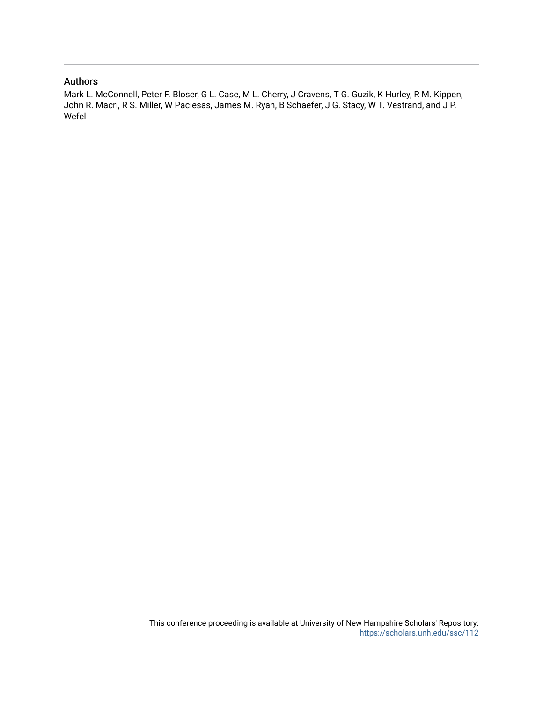### Authors

Mark L. McConnell, Peter F. Bloser, G L. Case, M L. Cherry, J Cravens, T G. Guzik, K Hurley, R M. Kippen, John R. Macri, R S. Miller, W Paciesas, James M. Ryan, B Schaefer, J G. Stacy, W T. Vestrand, and J P. Wefel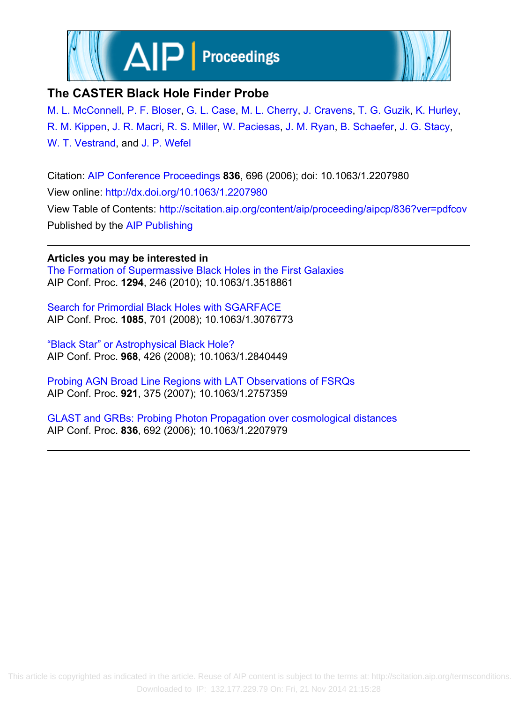



## **The CASTER Black Hole Finder Probe**

[M. L. McConnell](http://scitation.aip.org/search?value1=M.+L.+McConnell&option1=author), [P. F. Bloser](http://scitation.aip.org/search?value1=P.+F.+Bloser&option1=author), [G. L. Case](http://scitation.aip.org/search?value1=G.+L.+Case&option1=author), [M. L. Cherry,](http://scitation.aip.org/search?value1=M.+L.+Cherry&option1=author) [J. Cravens](http://scitation.aip.org/search?value1=J.+Cravens&option1=author), [T. G. Guzik](http://scitation.aip.org/search?value1=T.+G.+Guzik&option1=author), [K. Hurley,](http://scitation.aip.org/search?value1=K.+Hurley&option1=author) [R. M. Kippen,](http://scitation.aip.org/search?value1=R.+M.+Kippen&option1=author) [J. R. Macri](http://scitation.aip.org/search?value1=J.+R.+Macri&option1=author), [R. S. Miller,](http://scitation.aip.org/search?value1=R.+S.+Miller&option1=author) [W. Paciesas,](http://scitation.aip.org/search?value1=W.+Paciesas&option1=author) [J. M. Ryan,](http://scitation.aip.org/search?value1=J.+M.+Ryan&option1=author) [B. Schaefer,](http://scitation.aip.org/search?value1=B.+Schaefer&option1=author) [J. G. Stacy](http://scitation.aip.org/search?value1=J.+G.+Stacy&option1=author), [W. T. Vestrand,](http://scitation.aip.org/search?value1=W.+T.+Vestrand&option1=author) and [J. P. Wefel](http://scitation.aip.org/search?value1=J.+P.+Wefel&option1=author)

Citation: [AIP Conference Proceedings](http://scitation.aip.org/content/aip/proceeding/aipcp?ver=pdfcov) **836**, 696 (2006); doi: 10.1063/1.2207980 View online: <http://dx.doi.org/10.1063/1.2207980> View Table of Contents: <http://scitation.aip.org/content/aip/proceeding/aipcp/836?ver=pdfcov> Published by the [AIP Publishing](http://scitation.aip.org/content/aip?ver=pdfcov)

#### **Articles you may be interested in**

[The Formation of Supermassive Black Holes in the First Galaxies](http://scitation.aip.org/content/aip/proceeding/aipcp/10.1063/1.3518861?ver=pdfcov) AIP Conf. Proc. **1294**, 246 (2010); 10.1063/1.3518861

[Search for Primordial Black Holes with SGARFACE](http://scitation.aip.org/content/aip/proceeding/aipcp/10.1063/1.3076773?ver=pdfcov) AIP Conf. Proc. **1085**, 701 (2008); 10.1063/1.3076773

["Black Star" or Astrophysical Black Hole?](http://scitation.aip.org/content/aip/proceeding/aipcp/10.1063/1.2840449?ver=pdfcov) AIP Conf. Proc. **968**, 426 (2008); 10.1063/1.2840449

[Probing AGN Broad Line Regions with LAT Observations of FSRQs](http://scitation.aip.org/content/aip/proceeding/aipcp/10.1063/1.2757359?ver=pdfcov) AIP Conf. Proc. **921**, 375 (2007); 10.1063/1.2757359

[GLAST and GRBs: Probing Photon Propagation over cosmological distances](http://scitation.aip.org/content/aip/proceeding/aipcp/10.1063/1.2207979?ver=pdfcov) AIP Conf. Proc. **836**, 692 (2006); 10.1063/1.2207979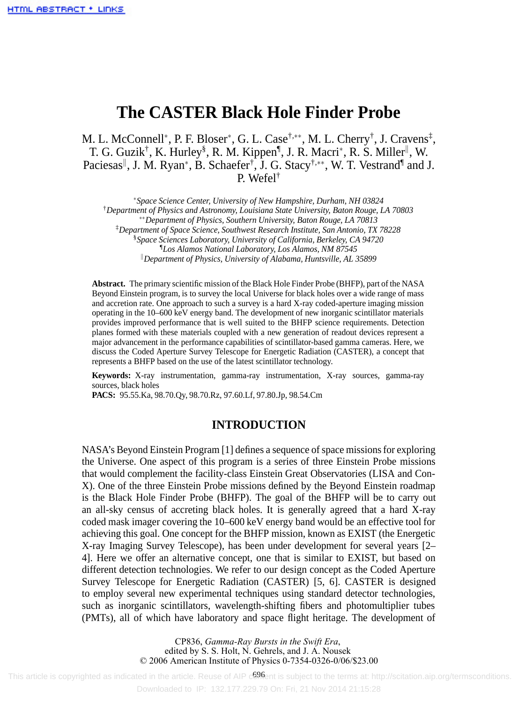## **The CASTER Black Hole Finder Probe**

M. L. McConnell\*, P. F. Bloser\*, G. L. Case<sup>†,∗∗</sup>, M. L. Cherry<sup>†</sup>, J. Cravens<sup>‡</sup>, T. G. Guzik†, K. Hurley<sup>§</sup>, R. M. Kippen<sup>¶</sup>, J. R. Macri\*, R. S. Miller<sup>∥</sup>, W. Paciesas<sup>∥</sup>, J. M. Ryan<sup>∗</sup>, B. Schaefer<sup>†</sup>, J. G. Stacy<sup>†,</sup>\*\*, W. T. Vestrand<sup>¶</sup> and J. P. Wefel†

<sup>∗</sup>*Space Science Center, University of New Hampshire, Durham, NH 03824* †*Department of Physics and Astronomy, Louisiana State University, Baton Rouge, LA 70803* ∗∗*Department of Physics, Southern University, Baton Rouge, LA 70813* ‡*Department of Space Science, Southwest Research Institute, San Antonio, TX 78228* §*Space Sciences Laboratory, University of California, Berkeley, CA 94720* ¶ *Los Alamos National Laboratory, Los Alamos, NM 87545* -*Department of Physics, University of Alabama, Huntsville, AL 35899*

**Abstract.** The primary scientific mission of the Black Hole Finder Probe (BHFP), part of the NASA Beyond Einstein program, is to survey the local Universe for black holes over a wide range of mass and accretion rate. One approach to such a survey is a hard X-ray coded-aperture imaging mission operating in the 10–600 keV energy band. The development of new inorganic scintillator materials provides improved performance that is well suited to the BHFP science requirements. Detection planes formed with these materials coupled with a new generation of readout devices represent a major advancement in the performance capabilities of scintillator-based gamma cameras. Here, we discuss the Coded Aperture Survey Telescope for Energetic Radiation (CASTER), a concept that represents a BHFP based on the use of the latest scintillator technology.

**Keywords:** X-ray instrumentation, gamma-ray instrumentation, X-ray sources, gamma-ray sources, black holes

**PACS:** 95.55.Ka, 98.70.Qy, 98.70.Rz, 97.60.Lf, 97.80.Jp, 98.54.Cm

#### **INTRODUCTION**

NASA's Beyond Einstein Program [1] defines a sequence of space missions for exploring the Universe. One aspect of this program is a series of three Einstein Probe missions that would complement the facility-class Einstein Great Observatories (LISA and Con-X). One of the three Einstein Probe missions defined by the Beyond Einstein roadmap is the Black Hole Finder Probe (BHFP). The goal of the BHFP will be to carry out an all-sky census of accreting black holes. It is generally agreed that a hard X-ray coded mask imager covering the 10–600 keV energy band would be an effective tool for achieving this goal. One concept for the BHFP mission, known as EXIST (the Energetic X-ray Imaging Survey Telescope), has been under development for several years [2– 4]. Here we offer an alternative concept, one that is similar to EXIST, but based on different detection technologies. We refer to our design concept as the Coded Aperture Survey Telescope for Energetic Radiation (CASTER) [5, 6]. CASTER is designed to employ several new experimental techniques using standard detector technologies, such as inorganic scintillators, wavelength-shifting fibers and photomultiplier tubes (PMTs), all of which have laboratory and space flight heritage. The development of

> CP836, *Gamma-Ray Bursts in the Swift Era*, edited by S. S. Holt, N. Gehrels, and J. A. Nousek © 2006 American Institute of Physics 0-7354-0326-0/06/\$23.00

This article is copyrighted as indicated in the article. Reuse of AIP c<sup>696</sup>ent is subject to the terms at: http://scitation.aip.org/termsconditions. Downloaded to IP: 132.177.229.79 On: Fri, 21 Nov 2014 21:15:28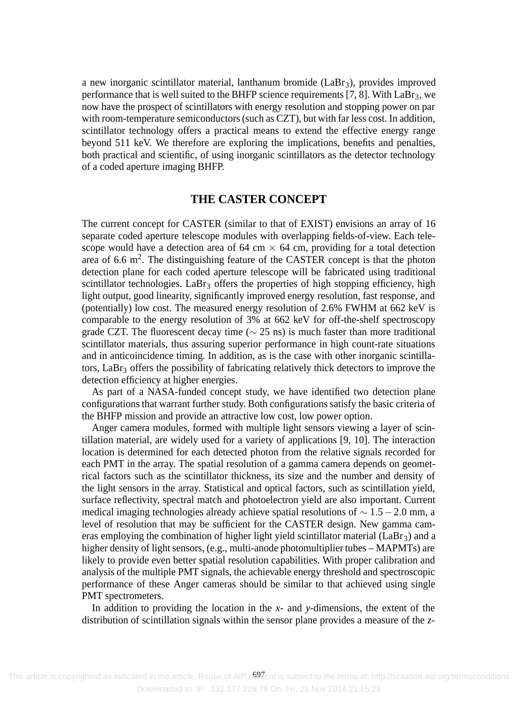a new inorganic scintillator material, lanthanum bromide (LaBr3), provides improved performance that is well suited to the BHFP science requirements  $[7, 8]$ . With LaBr<sub>3</sub>, we now have the prospect of scintillators with energy resolution and stopping power on par with room-temperature semiconductors (such as CZT), but with far less cost. In addition, scintillator technology offers a practical means to extend the effective energy range beyond 511 keV. We therefore are exploring the implications, benefits and penalties, both practical and scientific, of using inorganic scintillators as the detector technology of a coded aperture imaging BHFP.

#### **THE CASTER CONCEPT**

The current concept for CASTER (similar to that of EXIST) envisions an array of 16 separate coded aperture telescope modules with overlapping fields-of-view. Each telescope would have a detection area of 64 cm  $\times$  64 cm, providing for a total detection area of  $6.6 \text{ m}^2$ . The distinguishing feature of the CASTER concept is that the photon detection plane for each coded aperture telescope will be fabricated using traditional scintillator technologies. LaBr<sub>3</sub> offers the properties of high stopping efficiency, high light output, good linearity, significantly improved energy resolution, fast response, and (potentially) low cost. The measured energy resolution of 2.6% FWHM at 662 keV is comparable to the energy resolution of 3% at 662 keV for off-the-shelf spectroscopy grade CZT. The fluorescent decay time ( $\sim$  25 ns) is much faster than more traditional scintillator materials, thus assuring superior performance in high count-rate situations and in anticoincidence timing. In addition, as is the case with other inorganic scintillators, LaBr<sub>3</sub> offers the possibility of fabricating relatively thick detectors to improve the detection efficiency at higher energies.

As part of a NASA-funded concept study, we have identified two detection plane configurations that warrant further study. Both configurations satisfy the basic criteria of the BHFP mission and provide an attractive low cost, low power option.

Anger camera modules, formed with multiple light sensors viewing a layer of scintillation material, are widely used for a variety of applications [9, 10]. The interaction location is determined for each detected photon from the relative signals recorded for each PMT in the array. The spatial resolution of a gamma camera depends on geometrical factors such as the scintillator thickness, its size and the number and density of the light sensors in the array. Statistical and optical factors, such as scintillation yield, surface reflectivity, spectral match and photoelectron yield are also important. Current medical imaging technologies already achieve spatial resolutions of ∼ 1*.*5−2*.*0 mm, a level of resolution that may be sufficient for the CASTER design. New gamma cameras employing the combination of higher light yield scintillator material  $(LaBr_3)$  and a higher density of light sensors, (e.g., multi-anode photomultiplier tubes – MAPMTs) are likely to provide even better spatial resolution capabilities. With proper calibration and analysis of the multiple PMT signals, the achievable energy threshold and spectroscopic performance of these Anger cameras should be similar to that achieved using single PMT spectrometers.

In addition to providing the location in the *x*- and *y*-dimensions, the extent of the distribution of scintillation signals within the sensor plane provides a measure of the *z*-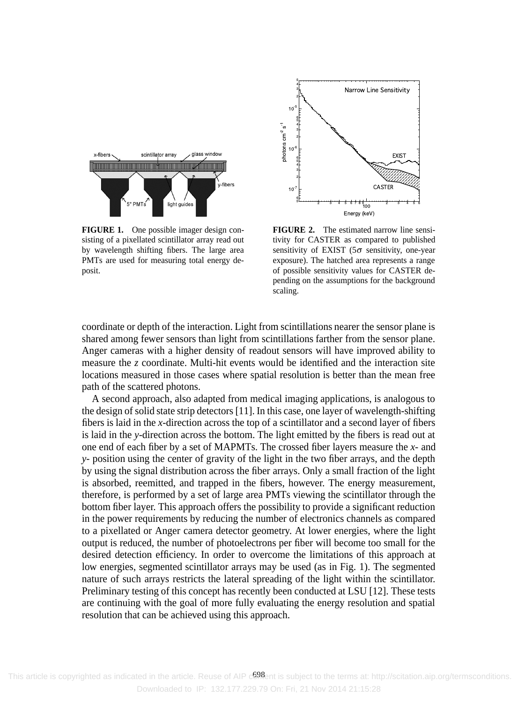

**FIGURE 1.** One possible imager design consisting of a pixellated scintillator array read out by wavelength shifting fibers. The large area PMTs are used for measuring total energy deposit.



**FIGURE 2.** The estimated narrow line sensitivity for CASTER as compared to published sensitivity of EXIST ( $5\sigma$  sensitivity, one-year exposure). The hatched area represents a range of possible sensitivity values for CASTER depending on the assumptions for the background scaling.

coordinate or depth of the interaction. Light from scintillations nearer the sensor plane is shared among fewer sensors than light from scintillations farther from the sensor plane. Anger cameras with a higher density of readout sensors will have improved ability to measure the *z* coordinate. Multi-hit events would be identified and the interaction site locations measured in those cases where spatial resolution is better than the mean free path of the scattered photons.

A second approach, also adapted from medical imaging applications, is analogous to the design of solid state strip detectors [11]. In this case, one layer of wavelength-shifting fibers is laid in the *x*-direction across the top of a scintillator and a second layer of fibers is laid in the *y*-direction across the bottom. The light emitted by the fibers is read out at one end of each fiber by a set of MAPMTs. The crossed fiber layers measure the *x*- and *y*- position using the center of gravity of the light in the two fiber arrays, and the depth by using the signal distribution across the fiber arrays. Only a small fraction of the light is absorbed, reemitted, and trapped in the fibers, however. The energy measurement, therefore, is performed by a set of large area PMTs viewing the scintillator through the bottom fiber layer. This approach offers the possibility to provide a significant reduction in the power requirements by reducing the number of electronics channels as compared to a pixellated or Anger camera detector geometry. At lower energies, where the light output is reduced, the number of photoelectrons per fiber will become too small for the desired detection efficiency. In order to overcome the limitations of this approach at low energies, segmented scintillator arrays may be used (as in Fig. 1). The segmented nature of such arrays restricts the lateral spreading of the light within the scintillator. Preliminary testing of this concept has recently been conducted at LSU [12]. These tests are continuing with the goal of more fully evaluating the energy resolution and spatial resolution that can be achieved using this approach.